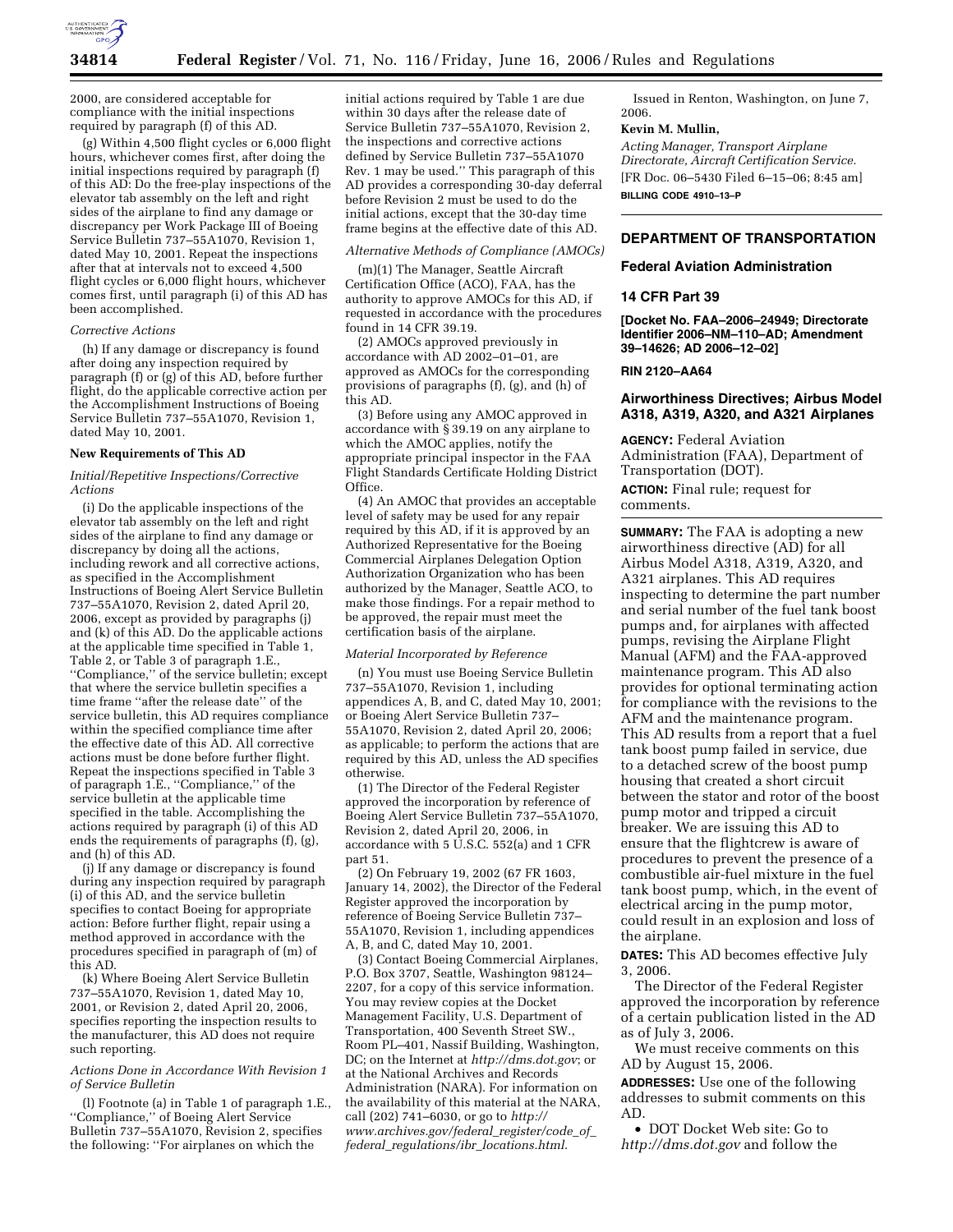

2000, are considered acceptable for compliance with the initial inspections required by paragraph (f) of this AD.

(g) Within 4,500 flight cycles or 6,000 flight hours, whichever comes first, after doing the initial inspections required by paragraph (f) of this AD: Do the free-play inspections of the elevator tab assembly on the left and right sides of the airplane to find any damage or discrepancy per Work Package III of Boeing Service Bulletin 737–55A1070, Revision 1, dated May 10, 2001. Repeat the inspections after that at intervals not to exceed 4,500 flight cycles or 6,000 flight hours, whichever comes first, until paragraph (i) of this AD has been accomplished.

## *Corrective Actions*

(h) If any damage or discrepancy is found after doing any inspection required by paragraph (f) or (g) of this AD, before further flight, do the applicable corrective action per the Accomplishment Instructions of Boeing Service Bulletin 737–55A1070, Revision 1, dated May 10, 2001.

#### **New Requirements of This AD**

## *Initial/Repetitive Inspections/Corrective Actions*

(i) Do the applicable inspections of the elevator tab assembly on the left and right sides of the airplane to find any damage or discrepancy by doing all the actions, including rework and all corrective actions, as specified in the Accomplishment Instructions of Boeing Alert Service Bulletin 737–55A1070, Revision 2, dated April 20, 2006, except as provided by paragraphs (j) and (k) of this AD. Do the applicable actions at the applicable time specified in Table 1, Table 2, or Table 3 of paragraph 1.E., ''Compliance,'' of the service bulletin; except that where the service bulletin specifies a time frame ''after the release date'' of the service bulletin, this AD requires compliance within the specified compliance time after the effective date of this AD. All corrective actions must be done before further flight. Repeat the inspections specified in Table 3 of paragraph 1.E., ''Compliance,'' of the service bulletin at the applicable time specified in the table. Accomplishing the actions required by paragraph (i) of this AD ends the requirements of paragraphs (f), (g), and (h) of this AD.

(j) If any damage or discrepancy is found during any inspection required by paragraph (i) of this AD, and the service bulletin specifies to contact Boeing for appropriate action: Before further flight, repair using a method approved in accordance with the procedures specified in paragraph of (m) of this AD.

(k) Where Boeing Alert Service Bulletin 737–55A1070, Revision 1, dated May 10, 2001, or Revision 2, dated April 20, 2006, specifies reporting the inspection results to the manufacturer, this AD does not require such reporting.

### *Actions Done in Accordance With Revision 1 of Service Bulletin*

(l) Footnote (a) in Table 1 of paragraph 1.E., ''Compliance,'' of Boeing Alert Service Bulletin 737–55A1070, Revision 2, specifies the following: ''For airplanes on which the

initial actions required by Table 1 are due within 30 days after the release date of Service Bulletin 737–55A1070, Revision 2, the inspections and corrective actions defined by Service Bulletin 737–55A1070 Rev. 1 may be used.'' This paragraph of this AD provides a corresponding 30-day deferral before Revision 2 must be used to do the initial actions, except that the 30-day time frame begins at the effective date of this AD.

## *Alternative Methods of Compliance (AMOCs)*

(m)(1) The Manager, Seattle Aircraft Certification Office (ACO), FAA, has the authority to approve AMOCs for this AD, if requested in accordance with the procedures found in 14 CFR 39.19.

(2) AMOCs approved previously in accordance with AD 2002–01–01, are approved as AMOCs for the corresponding provisions of paragraphs (f), (g), and (h) of this AD.

(3) Before using any AMOC approved in accordance with § 39.19 on any airplane to which the AMOC applies, notify the appropriate principal inspector in the FAA Flight Standards Certificate Holding District Office.

(4) An AMOC that provides an acceptable level of safety may be used for any repair required by this AD, if it is approved by an Authorized Representative for the Boeing Commercial Airplanes Delegation Option Authorization Organization who has been authorized by the Manager, Seattle ACO, to make those findings. For a repair method to be approved, the repair must meet the certification basis of the airplane.

#### *Material Incorporated by Reference*

(n) You must use Boeing Service Bulletin 737–55A1070, Revision 1, including appendices A, B, and C, dated May 10, 2001; or Boeing Alert Service Bulletin 737– 55A1070, Revision 2, dated April 20, 2006; as applicable; to perform the actions that are required by this AD, unless the AD specifies otherwise.

(1) The Director of the Federal Register approved the incorporation by reference of Boeing Alert Service Bulletin 737–55A1070, Revision 2, dated April 20, 2006, in accordance with 5 U.S.C. 552(a) and 1 CFR part 51.

(2) On February 19, 2002 (67 FR 1603, January 14, 2002), the Director of the Federal Register approved the incorporation by reference of Boeing Service Bulletin 737– 55A1070, Revision 1, including appendices A, B, and C, dated May 10, 2001.

(3) Contact Boeing Commercial Airplanes, P.O. Box 3707, Seattle, Washington 98124– 2207, for a copy of this service information. You may review copies at the Docket Management Facility, U.S. Department of Transportation, 400 Seventh Street SW., Room PL–401, Nassif Building, Washington, DC; on the Internet at *http://dms.dot.gov*; or at the National Archives and Records Administration (NARA). For information on the availability of this material at the NARA, call (202) 741–6030, or go to *http:// www.archives.gov/federal*\_*register/code*\_*of*\_ *federal*\_*regulations/ibr*\_*locations.html*.

Issued in Renton, Washington, on June 7, 2006.

### **Kevin M. Mullin,**

*Acting Manager, Transport Airplane Directorate, Aircraft Certification Service.*  [FR Doc. 06–5430 Filed 6–15–06; 8:45 am] **BILLING CODE 4910–13–P** 

# **DEPARTMENT OF TRANSPORTATION**

# **Federal Aviation Administration**

# **14 CFR Part 39**

**[Docket No. FAA–2006–24949; Directorate Identifier 2006–NM–110–AD; Amendment 39–14626; AD 2006–12–02]** 

## **RIN 2120–AA64**

# **Airworthiness Directives; Airbus Model A318, A319, A320, and A321 Airplanes**

**AGENCY:** Federal Aviation Administration (FAA), Department of Transportation (DOT). **ACTION:** Final rule; request for comments.

**SUMMARY:** The FAA is adopting a new airworthiness directive (AD) for all Airbus Model A318, A319, A320, and A321 airplanes. This AD requires inspecting to determine the part number and serial number of the fuel tank boost pumps and, for airplanes with affected pumps, revising the Airplane Flight Manual (AFM) and the FAA-approved maintenance program. This AD also provides for optional terminating action for compliance with the revisions to the AFM and the maintenance program. This AD results from a report that a fuel tank boost pump failed in service, due to a detached screw of the boost pump housing that created a short circuit between the stator and rotor of the boost pump motor and tripped a circuit breaker. We are issuing this AD to ensure that the flightcrew is aware of procedures to prevent the presence of a combustible air-fuel mixture in the fuel tank boost pump, which, in the event of electrical arcing in the pump motor, could result in an explosion and loss of the airplane.

**DATES:** This AD becomes effective July 3, 2006.

The Director of the Federal Register approved the incorporation by reference of a certain publication listed in the AD as of July 3, 2006.

We must receive comments on this AD by August 15, 2006.

**ADDRESSES:** Use one of the following addresses to submit comments on this AD.

• DOT Docket Web site: Go to *http://dms.dot.gov* and follow the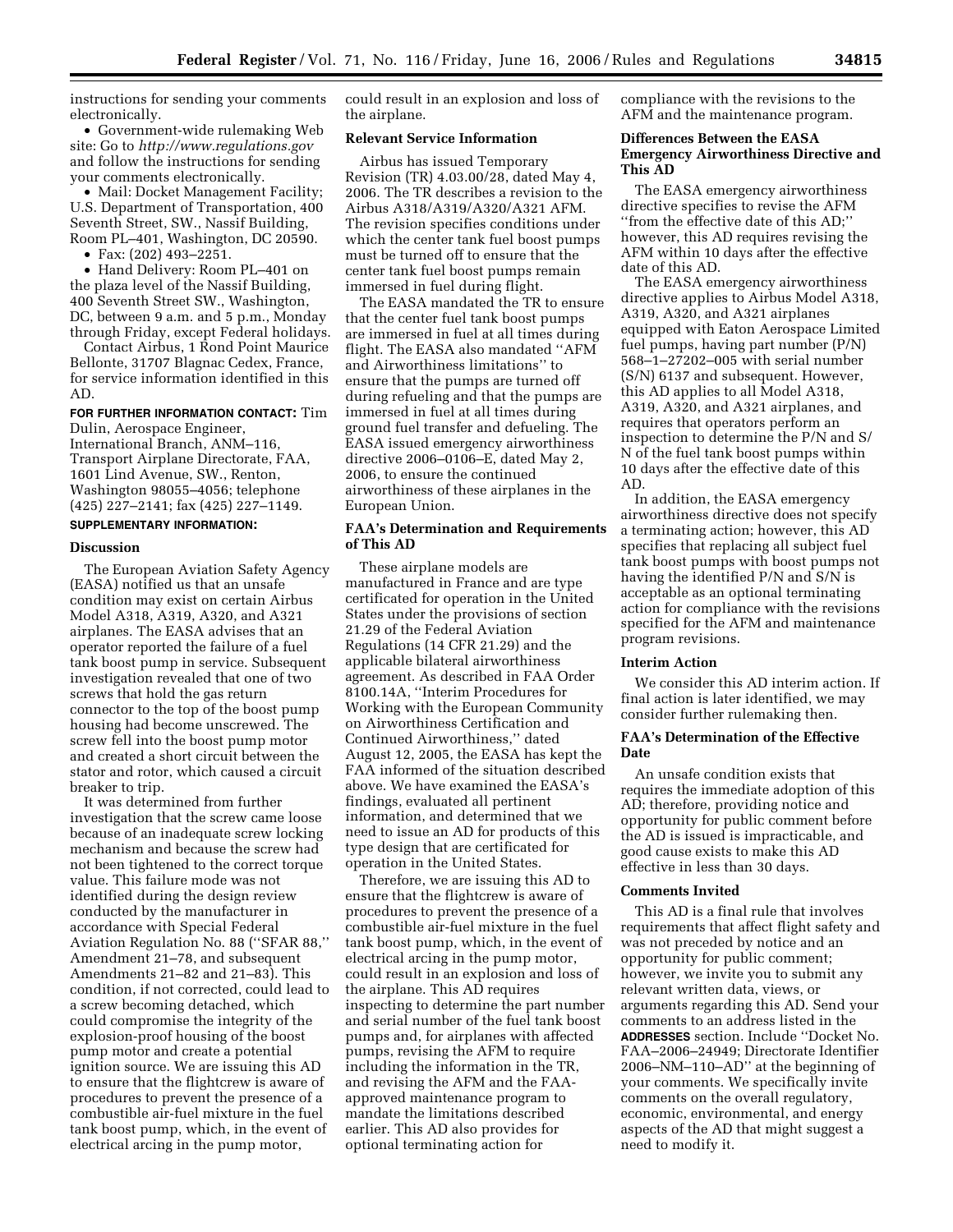instructions for sending your comments electronically.

• Government-wide rulemaking Web site: Go to *http://www.regulations.gov*  and follow the instructions for sending your comments electronically.

• Mail: Docket Management Facility; U.S. Department of Transportation, 400 Seventh Street, SW., Nassif Building, Room PL–401, Washington, DC 20590.

• Fax: (202) 493–2251.

• Hand Delivery: Room PL–401 on the plaza level of the Nassif Building, 400 Seventh Street SW., Washington, DC, between 9 a.m. and 5 p.m., Monday through Friday, except Federal holidays.

Contact Airbus, 1 Rond Point Maurice Bellonte, 31707 Blagnac Cedex, France, for service information identified in this AD.

# **FOR FURTHER INFORMATION CONTACT:** Tim

Dulin, Aerospace Engineer, International Branch, ANM–116, Transport Airplane Directorate, FAA, 1601 Lind Avenue, SW., Renton, Washington 98055–4056; telephone (425) 227–2141; fax (425) 227–1149.

# **SUPPLEMENTARY INFORMATION:**

### **Discussion**

The European Aviation Safety Agency (EASA) notified us that an unsafe condition may exist on certain Airbus Model A318, A319, A320, and A321 airplanes. The EASA advises that an operator reported the failure of a fuel tank boost pump in service. Subsequent investigation revealed that one of two screws that hold the gas return connector to the top of the boost pump housing had become unscrewed. The screw fell into the boost pump motor and created a short circuit between the stator and rotor, which caused a circuit breaker to trip.

It was determined from further investigation that the screw came loose because of an inadequate screw locking mechanism and because the screw had not been tightened to the correct torque value. This failure mode was not identified during the design review conducted by the manufacturer in accordance with Special Federal Aviation Regulation No. 88 (''SFAR 88,'' Amendment 21–78, and subsequent Amendments 21–82 and 21–83). This condition, if not corrected, could lead to a screw becoming detached, which could compromise the integrity of the explosion-proof housing of the boost pump motor and create a potential ignition source. We are issuing this AD to ensure that the flightcrew is aware of procedures to prevent the presence of a combustible air-fuel mixture in the fuel tank boost pump, which, in the event of electrical arcing in the pump motor,

could result in an explosion and loss of the airplane.

# **Relevant Service Information**

Airbus has issued Temporary Revision (TR) 4.03.00/28, dated May 4, 2006. The TR describes a revision to the Airbus A318/A319/A320/A321 AFM. The revision specifies conditions under which the center tank fuel boost pumps must be turned off to ensure that the center tank fuel boost pumps remain immersed in fuel during flight.

The EASA mandated the TR to ensure that the center fuel tank boost pumps are immersed in fuel at all times during flight. The EASA also mandated ''AFM and Airworthiness limitations'' to ensure that the pumps are turned off during refueling and that the pumps are immersed in fuel at all times during ground fuel transfer and defueling. The EASA issued emergency airworthiness directive 2006–0106–E, dated May 2, 2006, to ensure the continued airworthiness of these airplanes in the European Union.

# **FAA's Determination and Requirements of This AD**

These airplane models are manufactured in France and are type certificated for operation in the United States under the provisions of section 21.29 of the Federal Aviation Regulations (14 CFR 21.29) and the applicable bilateral airworthiness agreement. As described in FAA Order 8100.14A, ''Interim Procedures for Working with the European Community on Airworthiness Certification and Continued Airworthiness,'' dated August 12, 2005, the EASA has kept the FAA informed of the situation described above. We have examined the EASA's findings, evaluated all pertinent information, and determined that we need to issue an AD for products of this type design that are certificated for operation in the United States.

Therefore, we are issuing this AD to ensure that the flightcrew is aware of procedures to prevent the presence of a combustible air-fuel mixture in the fuel tank boost pump, which, in the event of electrical arcing in the pump motor, could result in an explosion and loss of the airplane. This AD requires inspecting to determine the part number and serial number of the fuel tank boost pumps and, for airplanes with affected pumps, revising the AFM to require including the information in the TR, and revising the AFM and the FAAapproved maintenance program to mandate the limitations described earlier. This AD also provides for optional terminating action for

compliance with the revisions to the AFM and the maintenance program.

# **Differences Between the EASA Emergency Airworthiness Directive and This AD**

The EASA emergency airworthiness directive specifies to revise the AFM ''from the effective date of this AD;'' however, this AD requires revising the AFM within 10 days after the effective date of this AD.

The EASA emergency airworthiness directive applies to Airbus Model A318, A319, A320, and A321 airplanes equipped with Eaton Aerospace Limited fuel pumps, having part number (P/N) 568–1–27202–005 with serial number (S/N) 6137 and subsequent. However, this AD applies to all Model A318, A319, A320, and A321 airplanes, and requires that operators perform an inspection to determine the P/N and S/ N of the fuel tank boost pumps within 10 days after the effective date of this AD.

In addition, the EASA emergency airworthiness directive does not specify a terminating action; however, this AD specifies that replacing all subject fuel tank boost pumps with boost pumps not having the identified P/N and S/N is acceptable as an optional terminating action for compliance with the revisions specified for the AFM and maintenance program revisions.

## **Interim Action**

We consider this AD interim action. If final action is later identified, we may consider further rulemaking then.

# **FAA's Determination of the Effective Date**

An unsafe condition exists that requires the immediate adoption of this AD; therefore, providing notice and opportunity for public comment before the AD is issued is impracticable, and good cause exists to make this AD effective in less than 30 days.

## **Comments Invited**

This AD is a final rule that involves requirements that affect flight safety and was not preceded by notice and an opportunity for public comment; however, we invite you to submit any relevant written data, views, or arguments regarding this AD. Send your comments to an address listed in the **ADDRESSES** section. Include ''Docket No. FAA–2006–24949; Directorate Identifier 2006–NM–110–AD'' at the beginning of your comments. We specifically invite comments on the overall regulatory, economic, environmental, and energy aspects of the AD that might suggest a need to modify it.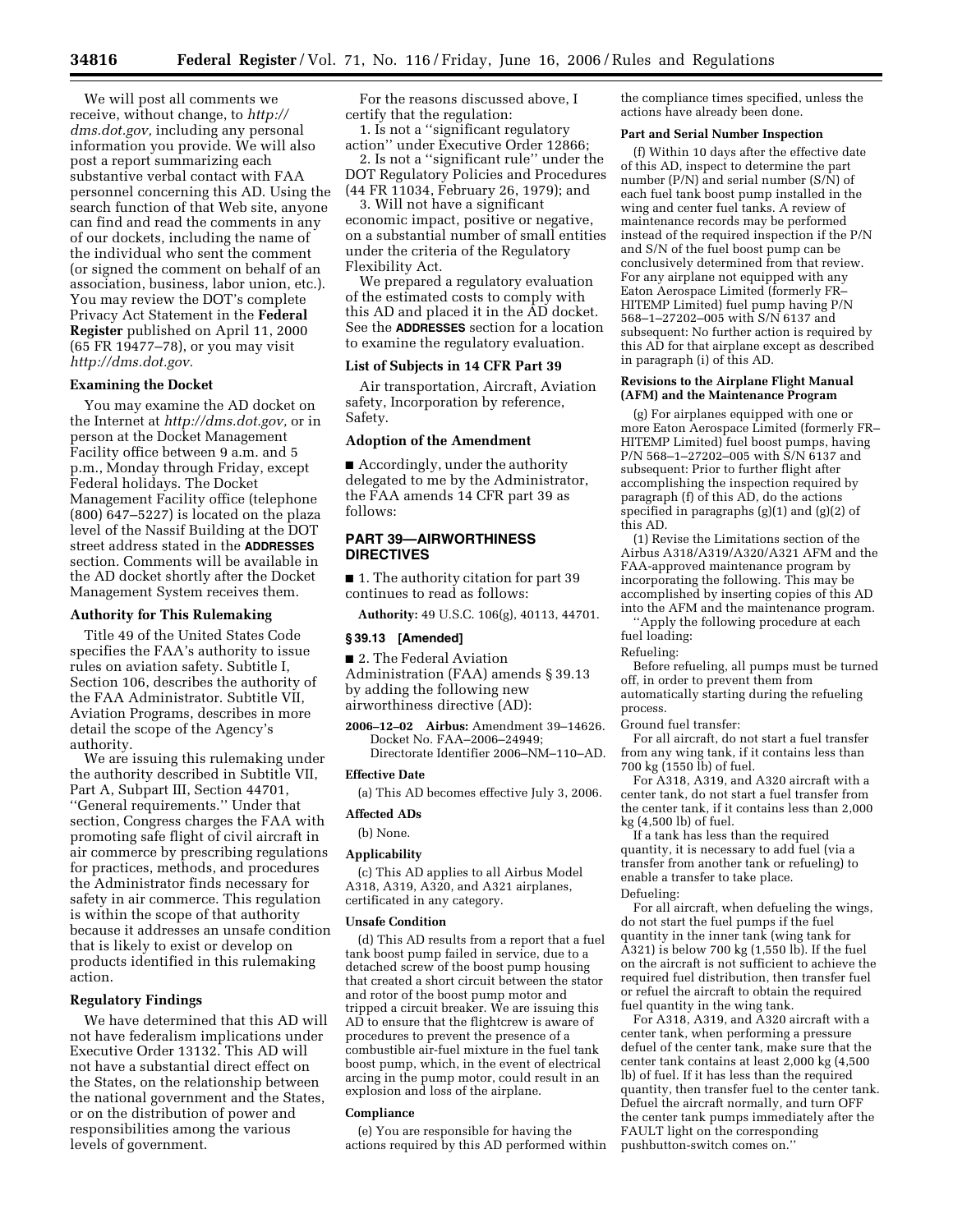We will post all comments we receive, without change, to *http:// dms.dot.gov,* including any personal information you provide. We will also post a report summarizing each substantive verbal contact with FAA personnel concerning this AD. Using the search function of that Web site, anyone can find and read the comments in any of our dockets, including the name of the individual who sent the comment (or signed the comment on behalf of an association, business, labor union, etc.). You may review the DOT's complete Privacy Act Statement in the **Federal Register** published on April 11, 2000 (65 FR 19477–78), or you may visit *http://dms.dot.gov.* 

## **Examining the Docket**

You may examine the AD docket on the Internet at *http://dms.dot.gov,* or in person at the Docket Management Facility office between 9 a.m. and 5 p.m., Monday through Friday, except Federal holidays. The Docket Management Facility office (telephone (800) 647–5227) is located on the plaza level of the Nassif Building at the DOT street address stated in the **ADDRESSES** section. Comments will be available in the AD docket shortly after the Docket Management System receives them.

## **Authority for This Rulemaking**

Title 49 of the United States Code specifies the FAA's authority to issue rules on aviation safety. Subtitle I, Section 106, describes the authority of the FAA Administrator. Subtitle VII, Aviation Programs, describes in more detail the scope of the Agency's authority.

We are issuing this rulemaking under the authority described in Subtitle VII, Part A, Subpart III, Section 44701, ''General requirements.'' Under that section, Congress charges the FAA with promoting safe flight of civil aircraft in air commerce by prescribing regulations for practices, methods, and procedures the Administrator finds necessary for safety in air commerce. This regulation is within the scope of that authority because it addresses an unsafe condition that is likely to exist or develop on products identified in this rulemaking action.

## **Regulatory Findings**

We have determined that this AD will not have federalism implications under Executive Order 13132. This AD will not have a substantial direct effect on the States, on the relationship between the national government and the States, or on the distribution of power and responsibilities among the various levels of government.

For the reasons discussed above, I certify that the regulation:

1. Is not a ''significant regulatory action'' under Executive Order 12866; 2. Is not a ''significant rule'' under the DOT Regulatory Policies and Procedures

(44 FR 11034, February 26, 1979); and 3. Will not have a significant economic impact, positive or negative,

on a substantial number of small entities under the criteria of the Regulatory Flexibility Act.

We prepared a regulatory evaluation of the estimated costs to comply with this AD and placed it in the AD docket. See the **ADDRESSES** section for a location to examine the regulatory evaluation.

## **List of Subjects in 14 CFR Part 39**

Air transportation, Aircraft, Aviation safety, Incorporation by reference, Safety.

#### **Adoption of the Amendment**

■ Accordingly, under the authority delegated to me by the Administrator, the FAA amends 14 CFR part 39 as follows:

# **PART 39—AIRWORTHINESS DIRECTIVES**

■ 1. The authority citation for part 39 continues to read as follows:

**Authority:** 49 U.S.C. 106(g), 40113, 44701.

### **§ 39.13 [Amended]**

■ 2. The Federal Aviation Administration (FAA) amends § 39.13 by adding the following new airworthiness directive (AD):

**2006–12–02 Airbus:** Amendment 39–14626. Docket No. FAA–2006–24949; Directorate Identifier 2006–NM–110–AD.

#### **Effective Date**

(a) This AD becomes effective July 3, 2006.

# **Affected ADs**

(b) None.

# **Applicability**

(c) This AD applies to all Airbus Model A318, A319, A320, and A321 airplanes, certificated in any category.

#### **Unsafe Condition**

(d) This AD results from a report that a fuel tank boost pump failed in service, due to a detached screw of the boost pump housing that created a short circuit between the stator and rotor of the boost pump motor and tripped a circuit breaker. We are issuing this AD to ensure that the flightcrew is aware of procedures to prevent the presence of a combustible air-fuel mixture in the fuel tank boost pump, which, in the event of electrical arcing in the pump motor, could result in an explosion and loss of the airplane.

## **Compliance**

(e) You are responsible for having the actions required by this AD performed within the compliance times specified, unless the actions have already been done.

## **Part and Serial Number Inspection**

(f) Within 10 days after the effective date of this AD, inspect to determine the part number (P/N) and serial number (S/ $\tilde{N}$ ) of each fuel tank boost pump installed in the wing and center fuel tanks. A review of maintenance records may be performed instead of the required inspection if the P/N and S/N of the fuel boost pump can be conclusively determined from that review. For any airplane not equipped with any Eaton Aerospace Limited (formerly FR– HITEMP Limited) fuel pump having P/N 568–1–27202–005 with S/N 6137 and subsequent: No further action is required by this AD for that airplane except as described in paragraph (i) of this AD.

## **Revisions to the Airplane Flight Manual (AFM) and the Maintenance Program**

(g) For airplanes equipped with one or more Eaton Aerospace Limited (formerly FR– HITEMP Limited) fuel boost pumps, having P/N 568–1–27202–005 with S/N 6137 and subsequent: Prior to further flight after accomplishing the inspection required by paragraph (f) of this AD, do the actions specified in paragraphs (g)(1) and (g)(2) of this AD.

(1) Revise the Limitations section of the Airbus A318/A319/A320/A321 AFM and the FAA-approved maintenance program by incorporating the following. This may be accomplished by inserting copies of this AD into the AFM and the maintenance program.

''Apply the following procedure at each fuel loading:

Refueling:

Before refueling, all pumps must be turned off, in order to prevent them from automatically starting during the refueling process.

Ground fuel transfer:

For all aircraft, do not start a fuel transfer from any wing tank, if it contains less than 700 kg (1550 lb) of fuel.

For A318, A319, and A320 aircraft with a center tank, do not start a fuel transfer from the center tank, if it contains less than 2,000 kg (4,500 lb) of fuel.

If a tank has less than the required quantity, it is necessary to add fuel (via a transfer from another tank or refueling) to enable a transfer to take place. Defueling:

For all aircraft, when defueling the wings, do not start the fuel pumps if the fuel quantity in the inner tank (wing tank for A321) is below 700 kg (1,550 lb). If the fuel on the aircraft is not sufficient to achieve the required fuel distribution, then transfer fuel or refuel the aircraft to obtain the required fuel quantity in the wing tank.

For A318, A319, and A320 aircraft with a center tank, when performing a pressure defuel of the center tank, make sure that the center tank contains at least 2,000 kg (4,500 lb) of fuel. If it has less than the required quantity, then transfer fuel to the center tank. Defuel the aircraft normally, and turn OFF the center tank pumps immediately after the FAULT light on the corresponding pushbutton-switch comes on.''